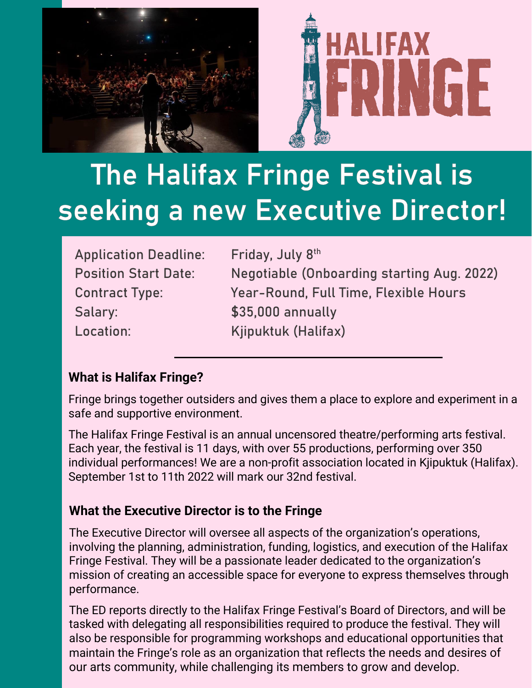

# The Halifax Fringe Festival is seeking a new Executive Director!

| <b>Application Deadline:</b> | Friday, July 8th                           |
|------------------------------|--------------------------------------------|
| <b>Position Start Date:</b>  | Negotiable (Onboarding starting Aug. 2022) |
| <b>Contract Type:</b>        | Year-Round, Full Time, Flexible Hours      |
| Salary:                      | \$35,000 annually                          |
| Location:                    | Kjipuktuk (Halifax)                        |

## **What is Halifax Fringe?**

Fringe brings together outsiders and gives them a place to explore and experiment in a safe and supportive environment.

The Halifax Fringe Festival is an annual uncensored theatre/performing arts festival. Each year, the festival is 11 days, with over 55 productions, performing over 350 individual performances! We are a non-profit association located in Kjipuktuk (Halifax). September 1st to 11th 2022 will mark our 32nd festival.

## **What the Executive Director is to the Fringe**

The Executive Director will oversee all aspects of the organization's operations, involving the planning, administration, funding, logistics, and execution of the Halifax Fringe Festival. They will be a passionate leader dedicated to the organization's mission of creating an accessible space for everyone to express themselves through performance.

The ED reports directly to the Halifax Fringe Festival's Board of Directors, and will be tasked with delegating all responsibilities required to produce the festival. They will also be responsible for programming workshops and educational opportunities that maintain the Fringe's role as an organization that reflects the needs and desires of our arts community, while challenging its members to grow and develop.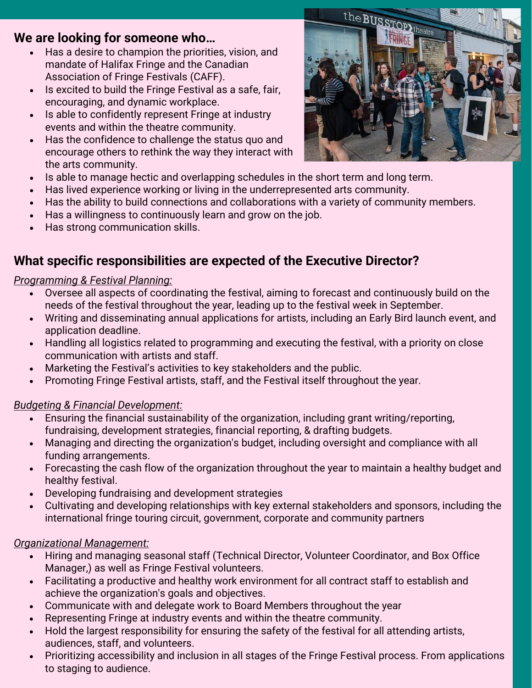## **We are looking for someone who…**

- Has a desire to champion the priorities, vision, and mandate of Halifax Fringe and the Canadian Association of Fringe Festivals (CAFF).
- Is excited to build the Fringe Festival as a safe, fair, encouraging, and dynamic workplace.
- Is able to confidently represent Fringe at industry events and within the theatre community.
- Has the confidence to challenge the status quo and encourage others to rethink the way they interact with the arts community.
- Is able to manage hectic and overlapping schedules in the short term and long term.
- Has lived experience working or living in the underrepresented arts community.
- Has the ability to build connections and collaborations with a variety of community members.
- Has a willingness to continuously learn and grow on the job.
- Has strong communication skills.

## **What specific responsibilities are expected of the Executive Director?**

#### *Programming & Festival Planning:*

- Oversee all aspects of coordinating the festival, aiming to forecast and continuously build on the needs of the festival throughout the year, leading up to the festival week in September.
- Writing and disseminating annual applications for artists, including an Early Bird launch event, and application deadline.
- Handling all logistics related to programming and executing the festival, with a priority on close communication with artists and staff.
- Marketing the Festival's activities to key stakeholders and the public.
- Promoting Fringe Festival artists, staff, and the Festival itself throughout the year.

#### *Budgeting & Financial Development:*

- Ensuring the financial sustainability of the organization, including grant writing/reporting, fundraising, development strategies, financial reporting, & drafting budgets.
- Managing and directing the organization's budget, including oversight and compliance with all funding arrangements.
- Forecasting the cash flow of the organization throughout the year to maintain a healthy budget and healthy festival.
- Developing fundraising and development strategies
- Cultivating and developing relationships with key external stakeholders and sponsors, including the international fringe touring circuit, government, corporate and community partners

#### *Organizational Management:*

- Hiring and managing seasonal staff (Technical Director, Volunteer Coordinator, and Box Office Manager,) as well as Fringe Festival volunteers.
- Facilitating a productive and healthy work environment for all contract staff to establish and achieve the organization's goals and objectives.
- Communicate with and delegate work to Board Members throughout the year
- Representing Fringe at industry events and within the theatre community.
- Hold the largest responsibility for ensuring the safety of the festival for all attending artists, audiences, staff, and volunteers.
- Prioritizing accessibility and inclusion in all stages of the Fringe Festival process. From applications to staging to audience.